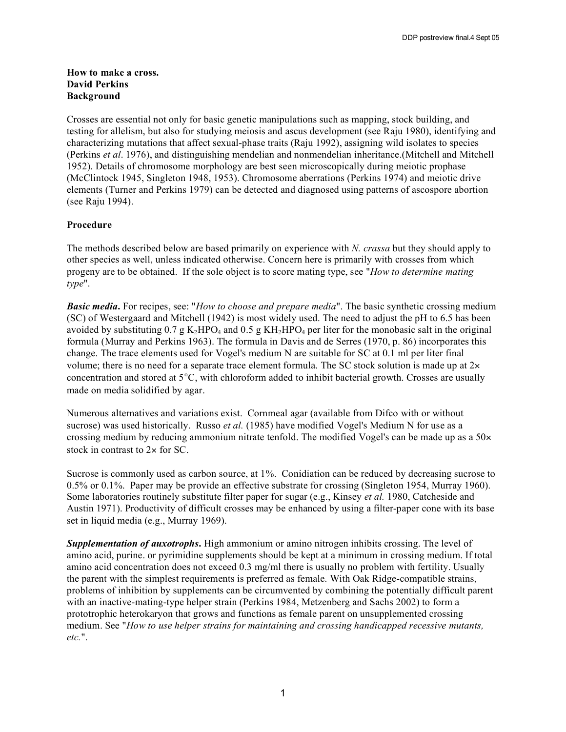### **How to make a cross. David Perkins Background**

Crosses are essential not only for basic genetic manipulations such as mapping, stock building, and testing for allelism, but also for studying meiosis and ascus development (see Raju 1980), identifying and characterizing mutations that affect sexual-phase traits (Raju 1992), assigning wild isolates to species (Perkins *et al*. 1976), and distinguishing mendelian and nonmendelian inheritance.(Mitchell and Mitchell 1952). Details of chromosome morphology are best seen microscopically during meiotic prophase (McClintock 1945, Singleton 1948, 1953). Chromosome aberrations (Perkins 1974) and meiotic drive elements (Turner and Perkins 1979) can be detected and diagnosed using patterns of ascospore abortion (see Raju 1994).

# **Procedure**

The methods described below are based primarily on experience with *N. crassa* but they should apply to other species as well, unless indicated otherwise. Concern here is primarily with crosses from which progeny are to be obtained. If the sole object is to score mating type, see "*How to determine mating type*".

*Basic media***.** For recipes, see: "*How to choose and prepare media*". The basic synthetic crossing medium (SC) of Westergaard and Mitchell (1942) is most widely used. The need to adjust the pH to 6.5 has been avoided by substituting  $0.7 g K<sub>2</sub>HPO<sub>4</sub>$  and  $0.5 g K<sub>H2</sub>HPO<sub>4</sub>$  per liter for the monobasic salt in the original formula (Murray and Perkins 1963). The formula in Davis and de Serres (1970, p. 86) incorporates this change. The trace elements used for Vogel's medium N are suitable for SC at 0.1 ml per liter final volume; there is no need for a separate trace element formula. The SC stock solution is made up at  $2x$ concentration and stored at 5°C, with chloroform added to inhibit bacterial growth. Crosses are usually made on media solidified by agar.

Numerous alternatives and variations exist. Cornmeal agar (available from Difco with or without sucrose) was used historically. Russo *et al.* (1985) have modified Vogel's Medium N for use as a crossing medium by reducing ammonium nitrate tenfold. The modified Vogel's can be made up as a 50× stock in contrast to 2x for SC.

Sucrose is commonly used as carbon source, at 1%. Conidiation can be reduced by decreasing sucrose to 0.5% or 0.1%. Paper may be provide an effective substrate for crossing (Singleton 1954, Murray 1960). Some laboratories routinely substitute filter paper for sugar (e.g., Kinsey *et al.* 1980, Catcheside and Austin 1971). Productivity of difficult crosses may be enhanced by using a filter-paper cone with its base set in liquid media (e.g., Murray 1969).

*Supplementation of auxotrophs***.** High ammonium or amino nitrogen inhibits crossing. The level of amino acid, purine. or pyrimidine supplements should be kept at a minimum in crossing medium. If total amino acid concentration does not exceed 0.3 mg/ml there is usually no problem with fertility. Usually the parent with the simplest requirements is preferred as female. With Oak Ridge-compatible strains, problems of inhibition by supplements can be circumvented by combining the potentially difficult parent with an inactive-mating-type helper strain (Perkins 1984, Metzenberg and Sachs 2002) to form a prototrophic heterokaryon that grows and functions as female parent on unsupplemented crossing medium. See "*How to use helper strains for maintaining and crossing handicapped recessive mutants, etc.*".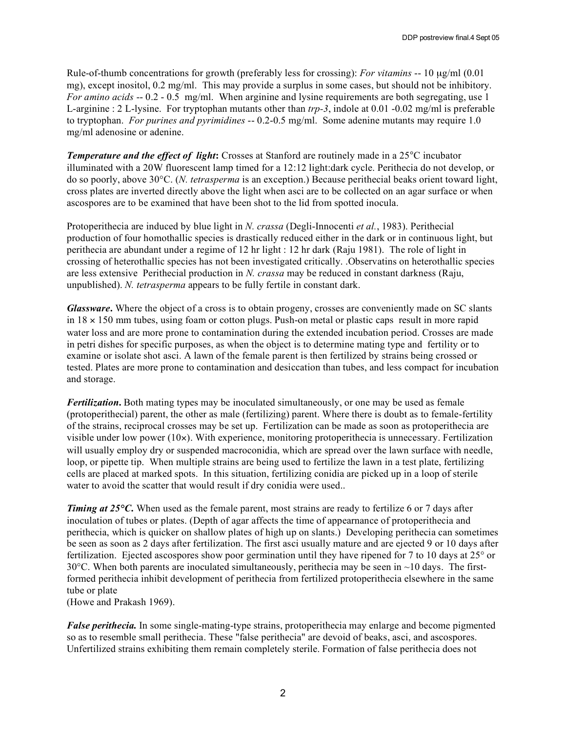Rule-of-thumb concentrations for growth (preferably less for crossing): *For vitamins* -- 10 µg/ml (0.01 mg), except inositol, 0.2 mg/ml. This may provide a surplus in some cases, but should not be inhibitory. *For amino acids* -- 0.2 - 0.5 mg/ml. When arginine and lysine requirements are both segregating, use 1 L-arginine : 2 L-lysine. For tryptophan mutants other than *trp-3*, indole at 0.01 -0.02 mg/ml is preferable to tryptophan. *For purines and pyrimidines* -- 0.2-0.5 mg/ml. Some adenine mutants may require 1.0 mg/ml adenosine or adenine.

*Temperature and the effect of light***:** Crosses at Stanford are routinely made in a 25°C incubator illuminated with a 20W fluorescent lamp timed for a 12:12 light:dark cycle. Perithecia do not develop, or do so poorly, above 30°C. (*N. tetrasperma* is an exception.) Because perithecial beaks orient toward light, cross plates are inverted directly above the light when asci are to be collected on an agar surface or when ascospores are to be examined that have been shot to the lid from spotted inocula.

Protoperithecia are induced by blue light in *N. crassa* (Degli-Innocenti *et al.*, 1983). Perithecial production of four homothallic species is drastically reduced either in the dark or in continuous light, but perithecia are abundant under a regime of 12 hr light : 12 hr dark (Raju 1981). The role of light in crossing of heterothallic species has not been investigated critically. .Observatins on heterothallic species are less extensive Perithecial production in *N. crassa* may be reduced in constant darkness (Raju, unpublished). *N. tetrasperma* appears to be fully fertile in constant dark.

*Glassware***.** Where the object of a cross is to obtain progeny, crosses are conveniently made on SC slants in 18 × 150 mm tubes, using foam or cotton plugs. Push-on metal or plastic caps result in more rapid water loss and are more prone to contamination during the extended incubation period. Crosses are made in petri dishes for specific purposes, as when the object is to determine mating type and fertility or to examine or isolate shot asci. A lawn of the female parent is then fertilized by strains being crossed or tested. Plates are more prone to contamination and desiccation than tubes, and less compact for incubation and storage.

*Fertilization***.** Both mating types may be inoculated simultaneously, or one may be used as female (protoperithecial) parent, the other as male (fertilizing) parent. Where there is doubt as to female-fertility of the strains, reciprocal crosses may be set up. Fertilization can be made as soon as protoperithecia are visible under low power (10×). With experience, monitoring protoperithecia is unnecessary. Fertilization will usually employ dry or suspended macroconidia, which are spread over the lawn surface with needle, loop, or pipette tip. When multiple strains are being used to fertilize the lawn in a test plate, fertilizing cells are placed at marked spots. In this situation, fertilizing conidia are picked up in a loop of sterile water to avoid the scatter that would result if dry conidia were used...

*Timing at* 25°C. When used as the female parent, most strains are ready to fertilize 6 or 7 days after inoculation of tubes or plates. (Depth of agar affects the time of appearnance of protoperithecia and perithecia, which is quicker on shallow plates of high up on slants.) Developing perithecia can sometimes be seen as soon as 2 days after fertilization. The first asci usually mature and are ejected 9 or 10 days after fertilization. Ejected ascospores show poor germination until they have ripened for 7 to 10 days at 25° or 30 $^{\circ}$ C. When both parents are inoculated simultaneously, perithecia may be seen in  $\sim$ 10 days. The firstformed perithecia inhibit development of perithecia from fertilized protoperithecia elsewhere in the same tube or plate

(Howe and Prakash 1969).

*False perithecia.* In some single-mating-type strains, protoperithecia may enlarge and become pigmented so as to resemble small perithecia. These "false perithecia" are devoid of beaks, asci, and ascospores. Unfertilized strains exhibiting them remain completely sterile. Formation of false perithecia does not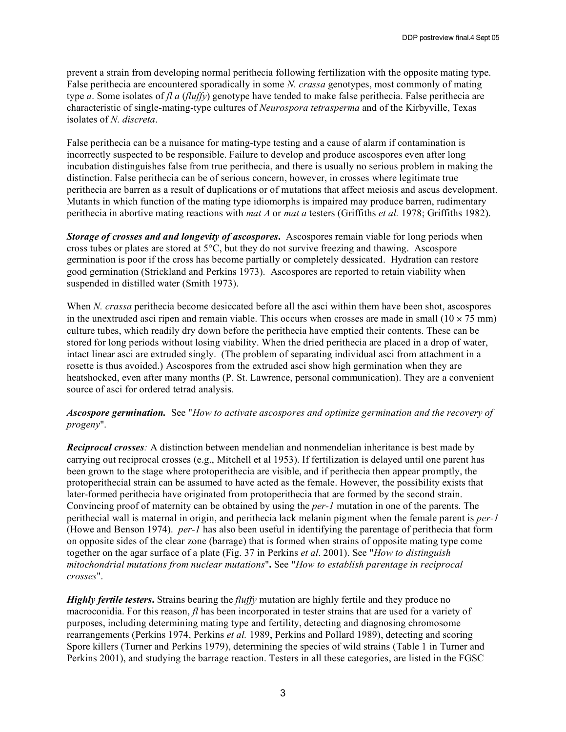prevent a strain from developing normal perithecia following fertilization with the opposite mating type. False perithecia are encountered sporadically in some *N. crassa* genotypes, most commonly of mating type *a*. Some isolates of *fl a* (*fluffy*) genotype have tended to make false perithecia. False perithecia are characteristic of single-mating-type cultures of *Neurospora tetrasperma* and of the Kirbyville, Texas isolates of *N. discreta*.

False perithecia can be a nuisance for mating-type testing and a cause of alarm if contamination is incorrectly suspected to be responsible. Failure to develop and produce ascospores even after long incubation distinguishes false from true perithecia, and there is usually no serious problem in making the distinction. False perithecia can be of serious concern, however, in crosses where legitimate true perithecia are barren as a result of duplications or of mutations that affect meiosis and ascus development. Mutants in which function of the mating type idiomorphs is impaired may produce barren, rudimentary perithecia in abortive mating reactions with *mat A* or *mat a* testers (Griffiths *et al.* 1978; Griffiths 1982).

*Storage of crosses and and longevity of ascospores***.** Ascospores remain viable for long periods when cross tubes or plates are stored at  $5^{\circ}$ C, but they do not survive freezing and thawing. Ascospore germination is poor if the cross has become partially or completely dessicated. Hydration can restore good germination (Strickland and Perkins 1973). Ascospores are reported to retain viability when suspended in distilled water (Smith 1973).

When *N. crassa* perithecia become desiccated before all the asci within them have been shot, ascospores in the unextruded asci ripen and remain viable. This occurs when crosses are made in small  $(10 \times 75 \text{ mm})$ culture tubes, which readily dry down before the perithecia have emptied their contents. These can be stored for long periods without losing viability. When the dried perithecia are placed in a drop of water, intact linear asci are extruded singly. (The problem of separating individual asci from attachment in a rosette is thus avoided.) Ascospores from the extruded asci show high germination when they are heatshocked, even after many months (P. St. Lawrence, personal communication). They are a convenient source of asci for ordered tetrad analysis.

## *Ascospore germination.* See "*How to activate ascospores and optimize germination and the recovery of progeny*".

*Reciprocal crosses:* A distinction between mendelian and nonmendelian inheritance is best made by carrying out reciprocal crosses (e.g., Mitchell et al 1953). If fertilization is delayed until one parent has been grown to the stage where protoperithecia are visible, and if perithecia then appear promptly, the protoperithecial strain can be assumed to have acted as the female. However, the possibility exists that later-formed perithecia have originated from protoperithecia that are formed by the second strain. Convincing proof of maternity can be obtained by using the *per-1* mutation in one of the parents. The perithecial wall is maternal in origin, and perithecia lack melanin pigment when the female parent is *per-1* (Howe and Benson 1974). *per-1* has also been useful in identifying the parentage of perithecia that form on opposite sides of the clear zone (barrage) that is formed when strains of opposite mating type come together on the agar surface of a plate (Fig. 37 in Perkins *et al*. 2001). See "*How to distinguish mitochondrial mutations from nuclear mutations*"**.** See "*How to establish parentage in reciprocal crosses*".

*Highly fertile testers***.** Strains bearing the *fluffy* mutation are highly fertile and they produce no macroconidia. For this reason, *fl* has been incorporated in tester strains that are used for a variety of purposes, including determining mating type and fertility, detecting and diagnosing chromosome rearrangements (Perkins 1974, Perkins *et al.* 1989, Perkins and Pollard 1989), detecting and scoring Spore killers (Turner and Perkins 1979), determining the species of wild strains (Table 1 in Turner and Perkins 2001), and studying the barrage reaction. Testers in all these categories, are listed in the FGSC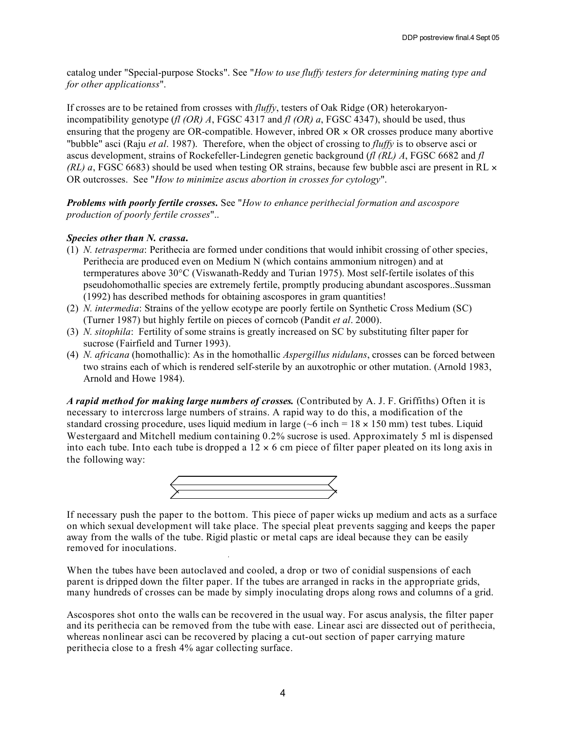catalog under "Special-purpose Stocks". See "*How to use fluffy testers for determining mating type and for other applicationss*".

If crosses are to be retained from crosses with *fluffy*, testers of Oak Ridge (OR) heterokaryonincompatibility genotype (*fl (OR) A*, FGSC 4317 and *fl (OR) a*, FGSC 4347), should be used, thus ensuring that the progeny are OR-compatible. However, indeed  $OR \times OR$  crosses produce many abortive "bubble" asci (Raju *et al*. 1987). Therefore, when the object of crossing to *fluffy* is to observe asci or ascus development, strains of Rockefeller-Lindegren genetic background (*fl (RL) A*, FGSC 6682 and *fl (RL) a*, FGSC 6683) should be used when testing OR strains, because few bubble asci are present in RL  $\times$ OR outcrosses. See "*How to minimize ascus abortion in crosses for cytology*".

*Problems with poorly fertile crosses.* See "*How to enhance perithecial formation and ascospore production of poorly fertile crosses*"..

## *Species other than N. crassa***.**

- (1) *N. tetrasperma*: Perithecia are formed under conditions that would inhibit crossing of other species, Perithecia are produced even on Medium N (which contains ammonium nitrogen) and at termperatures above 30°C (Viswanath-Reddy and Turian 1975). Most self-fertile isolates of this pseudohomothallic species are extremely fertile, promptly producing abundant ascospores..Sussman (1992) has described methods for obtaining ascospores in gram quantities!
- (2) *N. intermedia*: Strains of the yellow ecotype are poorly fertile on Synthetic Cross Medium (SC) (Turner 1987) but highly fertile on pieces of corncob (Pandit *et al*. 2000).
- (3) *N. sitophila*: Fertility of some strains is greatly increased on SC by substituting filter paper for sucrose (Fairfield and Turner 1993).
- (4) *N. africana* (homothallic): As in the homothallic *Aspergillus nidulans*, crosses can be forced between two strains each of which is rendered self-sterile by an auxotrophic or other mutation. (Arnold 1983, Arnold and Howe 1984).

*A rapid method for making large numbers of crosses.* (Contributed by A. J. F. Griffiths) Often it is necessary to intercross large numbers of strains. A rapid way to do this, a modification of the standard crossing procedure, uses liquid medium in large ( $\sim$ 6 inch = 18  $\times$  150 mm) test tubes. Liquid Westergaard and Mitchell medium containing 0.2% sucrose is used. Approximately 5 ml is dispensed into each tube. Into each tube is dropped a  $12 \times 6$  cm piece of filter paper pleated on its long axis in the following way:



If necessary push the paper to the bottom. This piece of paper wicks up medium and acts as a surface on which sexual development will take place. The special pleat prevents sagging and keeps the paper away from the walls of the tube. Rigid plastic or metal caps are ideal because they can be easily removed for inoculations.

When the tubes have been autoclaved and cooled, a drop or two of conidial suspensions of each parent is dripped down the filter paper. If the tubes are arranged in racks in the appropriate grids, many hundreds of crosses can be made by simply inoculating drops along rows and columns of a grid.

Ascospores shot onto the walls can be recovered in the usual way. For ascus analysis, the filter paper and its perithecia can be removed from the tube with ease. Linear asci are dissected out of perithecia, whereas nonlinear asci can be recovered by placing a cut-out section of paper carrying mature perithecia close to a fresh 4% agar collecting surface.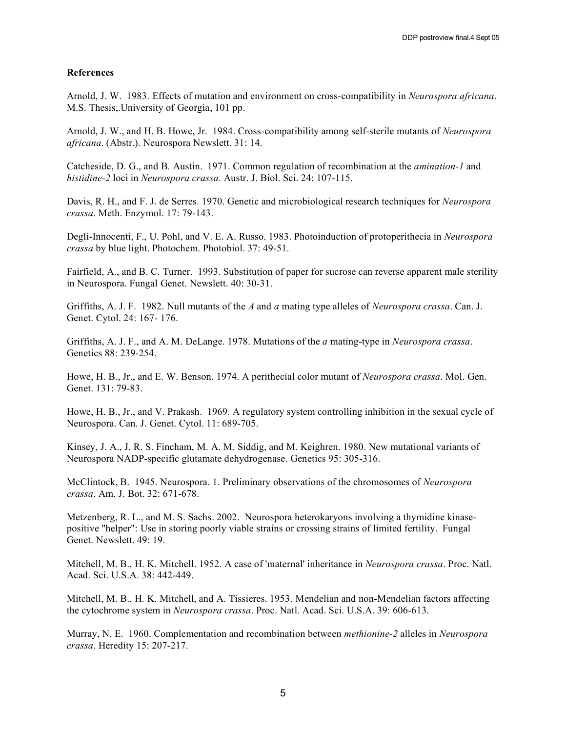#### **References**

Arnold, J. W. 1983. Effects of mutation and environment on cross-compatibility in *Neurospora africana*. M.S. Thesis,.University of Georgia, 101 pp.

Arnold, J. W., and H. B. Howe, Jr. 1984. Cross-compatibility among self-sterile mutants of *Neurospora africana*. (Abstr.). Neurospora Newslett. 31: 14.

Catcheside, D. G., and B. Austin. 1971. Common regulation of recombination at the *amination-1* and *histidine-2* loci in *Neurospora crassa*. Austr. J. Biol. Sci. 24: 107-115.

Davis, R. H., and F. J. de Serres. 1970. Genetic and microbiological research techniques for *Neurospora crassa*. Meth. Enzymol. 17: 79-143.

Degli-Innocenti, F., U. Pohl, and V. E. A. Russo. 1983. Photoinduction of protoperithecia in *Neurospora crassa* by blue light. Photochem. Photobiol. 37: 49-51.

Fairfield, A., and B. C. Turner. 1993. Substitution of paper for sucrose can reverse apparent male sterility in Neurospora. Fungal Genet. Newslett. 40: 30-31.

Griffiths, A. J. F. 1982. Null mutants of the *A* and *a* mating type alleles of *Neurospora crassa*. Can. J. Genet. Cytol. 24: 167- 176.

Griffiths, A. J. F., and A. M. DeLange. 1978. Mutations of the *a* mating-type in *Neurospora crassa*. Genetics 88: 239-254.

Howe, H. B., Jr., and E. W. Benson. 1974. A perithecial color mutant of *Neurospora crassa*. Mol. Gen. Genet.  $131 \cdot 79 - 83$ .

Howe, H. B., Jr., and V. Prakash. 1969. A regulatory system controlling inhibition in the sexual cycle of Neurospora. Can. J. Genet. Cytol. 11: 689-705.

Kinsey, J. A., J. R. S. Fincham, M. A. M. Siddig, and M. Keighren. 1980. New mutational variants of Neurospora NADP-specific glutamate dehydrogenase. Genetics 95: 305-316.

McClintock, B. 1945. Neurospora. 1. Preliminary observations of the chromosomes of *Neurospora crassa*. Am. J. Bot. 32: 671-678.

Metzenberg, R. L., and M. S. Sachs. 2002. Neurospora heterokaryons involving a thymidine kinasepositive "helper": Use in storing poorly viable strains or crossing strains of limited fertility. Fungal Genet. Newslett. 49: 19.

Mitchell, M. B., H. K. Mitchell. 1952. A case of 'maternal' inheritance in *Neurospora crassa*. Proc. Natl. Acad. Sci. U.S.A. 38: 442-449.

Mitchell, M. B., H. K. Mitchell, and A. Tissieres. 1953. Mendelian and non-Mendelian factors affecting the cytochrome system in *Neurospora crassa*. Proc. Natl. Acad. Sci. U.S.A. 39: 606-613.

Murray, N. E. 1960. Complementation and recombination between *methionine-2* alleles in *Neurospora crassa*. Heredity 15: 207-217.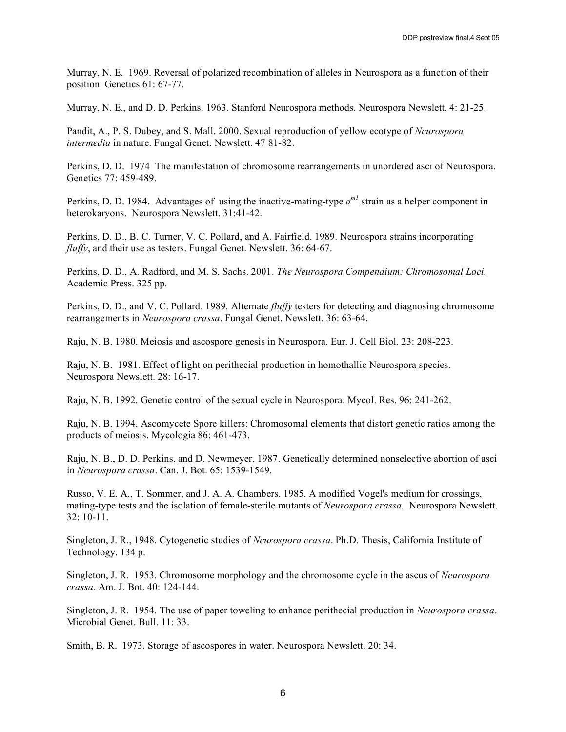Murray, N. E. 1969. Reversal of polarized recombination of alleles in Neurospora as a function of their position. Genetics 61: 67-77.

Murray, N. E., and D. D. Perkins. 1963. Stanford Neurospora methods. Neurospora Newslett. 4: 21-25.

Pandit, A., P. S. Dubey, and S. Mall. 2000. Sexual reproduction of yellow ecotype of *Neurospora intermedia* in nature. Fungal Genet. Newslett. 47 81-82.

Perkins, D. D. 1974 The manifestation of chromosome rearrangements in unordered asci of Neurospora. Genetics 77: 459-489.

Perkins, D. D. 1984. Advantages of using the inactive-mating-type  $a^{m}$  strain as a helper component in heterokaryons. Neurospora Newslett. 31:41-42.

Perkins, D. D., B. C. Turner, V. C. Pollard, and A. Fairfield. 1989. Neurospora strains incorporating *fluffy*, and their use as testers. Fungal Genet. Newslett. 36: 64-67.

Perkins, D. D., A. Radford, and M. S. Sachs. 2001. *The Neurospora Compendium: Chromosomal Loci.* Academic Press. 325 pp.

Perkins, D. D., and V. C. Pollard. 1989. Alternate *fluffy* testers for detecting and diagnosing chromosome rearrangements in *Neurospora crassa*. Fungal Genet. Newslett. 36: 63-64.

Raju, N. B. 1980. Meiosis and ascospore genesis in Neurospora. Eur. J. Cell Biol. 23: 208-223.

Raju, N. B. 1981. Effect of light on perithecial production in homothallic Neurospora species. Neurospora Newslett. 28: 16-17.

Raju, N. B. 1992. Genetic control of the sexual cycle in Neurospora. Mycol. Res. 96: 241-262.

Raju, N. B. 1994. Ascomycete Spore killers: Chromosomal elements that distort genetic ratios among the products of meiosis. Mycologia 86: 461-473.

Raju, N. B., D. D. Perkins, and D. Newmeyer. 1987. Genetically determined nonselective abortion of asci in *Neurospora crassa*. Can. J. Bot. 65: 1539-1549.

Russo, V. E. A., T. Sommer, and J. A. A. Chambers. 1985. A modified Vogel's medium for crossings, mating-type tests and the isolation of female-sterile mutants of *Neurospora crassa.* Neurospora Newslett. 32: 10-11.

Singleton, J. R., 1948. Cytogenetic studies of *Neurospora crassa*. Ph.D. Thesis, California Institute of Technology. 134 p.

Singleton, J. R. 1953. Chromosome morphology and the chromosome cycle in the ascus of *Neurospora crassa*. Am. J. Bot. 40: 124-144.

Singleton, J. R. 1954. The use of paper toweling to enhance perithecial production in *Neurospora crassa*. Microbial Genet. Bull. 11: 33.

Smith, B. R. 1973. Storage of ascospores in water. Neurospora Newslett. 20: 34.